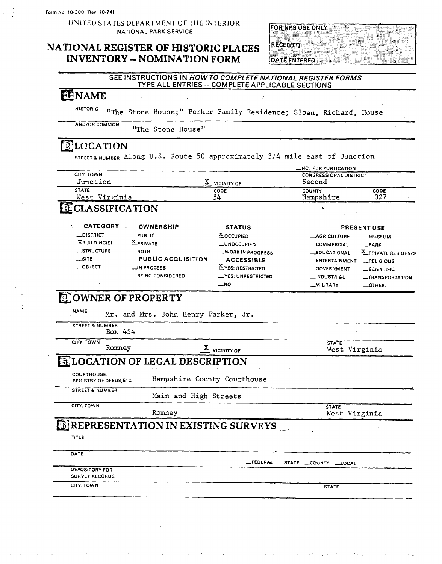$\frac{1}{2}$ 

UNITED STATES DEPARTMENT OF THE INTERIOR **NATIONAL** PARK **SERVICE** 

### **NATIONAL REGISTER OF HISTORIC PLACES INVENTORY -- NOMINATION FORM**

**FOR NPS USE ONLY RECEIVED DATE ENTERED** 

### SEE INSTRUCTIONS IN HOW TO **COMPLETE NATIONAL REGISTER FORMS**  TYPE ALL ENTRIES -- COMPLETE APPLICABLE SECTIONS

 $\mathbf{r}$ 

### **@NAME**

HISTORIC "The Stone House;" Parker Family Residence; Slosn, Richard, House

AND/OR COMMON "The Stone House"

### **ELOCATION**

STREET~NUMBER Along U.S. Route 50 approximately *314* mile east of Junction

| <b>CITY, TOWN</b><br>Junction                |                                            | $\underline{X}$ vicinity of | _NOT FOR PUBLICATION<br><b>CONGRESSIONAL DISTRICT</b><br>Second |                     |  |
|----------------------------------------------|--------------------------------------------|-----------------------------|-----------------------------------------------------------------|---------------------|--|
| <b>STATE</b><br>West Virginia                |                                            | CODE<br>54                  | <b>COUNTY</b><br>Hampshire                                      | CODE<br>027         |  |
| ECLASSIFICATION                              |                                            |                             |                                                                 |                     |  |
| <b>CATEGORY</b>                              | <b>OWNERSHIP</b><br><b>STATUS</b>          |                             | PRESENT USE                                                     |                     |  |
| _DISTRICT                                    | _PUBLIC                                    | <b>X</b> OCCUPIED           | <b>__AGRICULTURE</b>                                            | <b>__MUSEUM</b>     |  |
| <b>XBUILDING(S)</b>                          | <b>X</b> PRIVATE                           | <b>_UNOCCUPIED</b>          | <b>_COMMERCIAL</b>                                              | $-PARK$             |  |
| STRUCTURE                                    | —вотн                                      | WORK IN PROGRESS            | <b>_EDUCATIONAL</b>                                             | X_PRIVATE RESIDENCE |  |
| $\equiv$ SITE                                | <b>PUBLIC ACQUISITION</b>                  | <b>ACCESSIBLE</b>           | __ENTERTAINMENT                                                 | RELIGIOUS           |  |
| __OBJECT                                     | __IN PROCESS                               | X YES: RESTRICTED           | <b>GOVERNMENT</b>                                               | SCIENTIFIC          |  |
|                                              | _BEING CONSIDERED                          | <b>_YES: UNRESTRICTED</b>   | __INDUSTRIAL                                                    | -TRANSPORTATION     |  |
|                                              |                                            | _N0                         | <b>MILITARY</b>                                                 | $\_$ OTHER:         |  |
| <b>NAME</b>                                  | Mr. and Mrs. John Henry Parker, Jr.        |                             |                                                                 |                     |  |
| <b>STREET &amp; NUMBER</b><br>Box 454        |                                            |                             |                                                                 |                     |  |
| CITY, TOWN<br>Romney                         |                                            | $\frac{X}{A}$ vicinity of   | <b>STATE</b><br>West Virginia                                   |                     |  |
|                                              | <b>ELOCATION OF LEGAL DESCRIPTION</b>      |                             |                                                                 |                     |  |
| <b>COURTHOUSE.</b><br>REGISTRY OF DEEDS ETC. | Hampshire County Courthouse                |                             |                                                                 |                     |  |
| <b>STREET &amp; NUMBER</b>                   | Main and High Streets                      |                             |                                                                 |                     |  |
| CITY, TOWN                                   | Romney                                     |                             | <b>STATE</b><br>West Virginia                                   |                     |  |
|                                              | <b>BREPRESENTATION IN EXISTING SURVEYS</b> |                             |                                                                 |                     |  |

**DATE** 

-FEDERY STATE **-COUNM** LOCAL

DEPOSITORY FOR SURVEY RECORDS

ITY. TOWN STATE STATE STATE STATE STATE STATE STATE STATE STATE STATE STATE STATE STATE STATE STATE STATE STATE

والمتواد المولية المتحاد ويترون المتعلم المحادث والمراج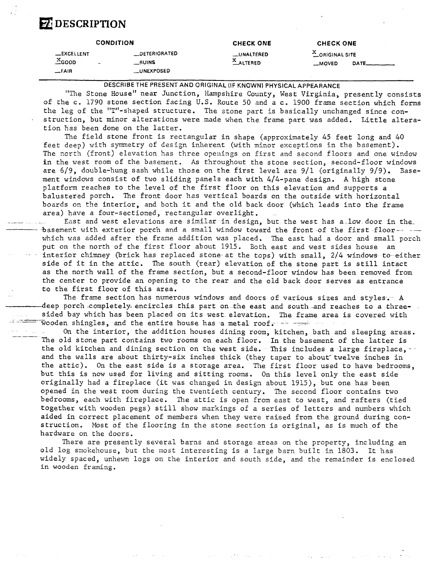# **B** DESCRIPTION

|                                          | <b>CONDITION</b>                                               | <b>CHECK ONE</b>       | <b>CHECK ONE</b>                        |       |
|------------------------------------------|----------------------------------------------------------------|------------------------|-----------------------------------------|-------|
| <b>_EXCELLENT</b><br>$X$ GOOD<br>$-FAIR$ | <b>DETERIORATED</b><br><b>RUINS</b><br>$\bullet$<br>_UNEXPOSED | __UNALTERED<br>ALTERED | $\frac{X}{Y}$ ORIGINAL SITE<br>$-MOVED$ | DATE. |

DESCRIBE THE **PRESENT** AND ORIGINAL (IF KNOWN) PHYSICAL APPEARANCE

"The Stone House" near Junction, Hampshire County, West Virginia, presently consists of the c. 1790 stone section facing **U.S.** Route 50 and a c. 1900 frame section which forms the leg of the "T"-shaped structure. The stone part is basically unchanged since con- . struction, but minor alterations were made when the frame part was added. Little alteration has been done on the latter.

The field stone front is rectangular in shape (approximately 45 feet long and 40 feet deep) with symmetry of design inherent (with minor exceptions in the basement). The north (front) elevation has three openings on first and second floors and one window in the west room of the basement. **As** throughout the stone section, second-floor windows are 6/9, double-hung sash while those on the first level are 9/1 (originally 9/9). Basement windows consist of two sliding panels each with 4/4-pane design. **A** high stone platform reaches to the level of the first floor on this elevation and supports a balustered porch. The front door has vertical boards on the outside with horizontal boards on the interior, and both it and the old back door (which leads into the frame area) have a four-sectioned, rectangular overlight.

East and west elevations are similar in design, but the west has a low door in the -basement with exterior porch and *a* small window toward the front of the first floor- - which was added after the frame addition was placed. The east had a door and small porch put on the north of the first floor about 1915. Both east and west sides house an interior chimney (brick has replaced stone-at the tops) with small,  $2/4$  windows to either side of it in the attic. The south (rear) elevation of the stone part is still intact as the north wall of the frame section, but a second-floor window has been removed from the center to provide an opening to the rear and the old back door serves as entrance to the first floor of this area.

The frame section has numerous windows and doors of various sizes and styles-; **A**  -------------------deep porch-completely-encircles this part on the east and south-and reaches to a threesided bay which has been placed on its west elevation. The frame section has numerous windows and doors of various sizes and styles. A<br>deep porch completely encircles this part on the east and south and reaches to a threesided bay which has been placed on its west elevation. The frame area is covered with<br>wooden shingles, and the entire house has a metal roof. --<br>On the interior, the addition houses dining room, kitchen, bath and sleeping

The old stone part contains two rooms on each floor. In the basement of the latter is the old kitchen and dining section on the west side. This includes a large fireplace,  $$ and the walls are about thirty-six inches thick (they taper to about" twelve inches in the attic). On the east side is a storage area. The first floor used to have bedrooms, but this is now used for living and sitting rooms. On this level only the east side originally had a fireplace (it was changed in design about 1915), but one has been opened in the west room during the twentieth century. The second floor contains two bedrooms, each with fireplace. The attic is open from east to west, and rafters (tied together with wooden pegs) still show markings of a series of letters and numbers which aided in correct placement of members when they were raised from the ground during construction. Most of the flooring in the stone section is original, as is much of the hardware on the doors.

There are presently several barns and storage areas on the property, including an old log smokehouse, but the most interesting is a large barn built in 1803. It **has**  widely spaced, unhewn logs on the interior and south side, and the remainder is enclosed in wooden framing.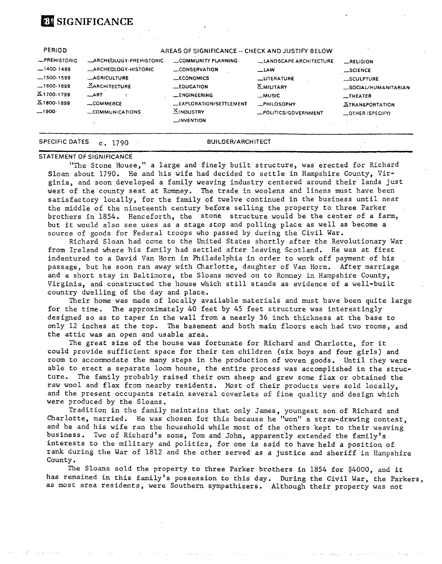# **BE SIGNIFICANCE**

#### **PERIOD**  -PREHISTORIC  $-1400-1499$  $-1500-1599$ -1 **600-** 1699 51 700-1 799 **X** 1800- 1899<br>-- <sup>1900-</sup> **AREAS OF SIGNIFICANCE** -- **CHECK AND JUSTlFf BELOW**  LARCHEOLOGY-PREHISTORIC LOMMUNITY PLANNING LANDSCAPE ARCHITECTURE ... RELIGION ARCHEOLOGY-HISTORIC -CONSERVATION , -LAW -SCIENCE -AGRICULTURE -ECONOMICS -LITERATURE -SCULPTURE XARCHITECTURE -EDUCATION X-MILITARY -SOCIAL/HUMANITARIAN ART -ENGINEERING -MUSIC -THEATER -COMMERCE -EXPLORATION/SETTLEMENT -PHILOSOPHY STRANSPORTATION -COMMUNICATIONS **51** NOUSTRY -POLITICS/GOVERNMENT -OTHER (SPECIFY) J NVENTION **SPECIFIC DATES c, 1790 BUILDER/ARCHITECT**

#### **STATEMENT OF SIGNIFICANCE**

"The Stone House," a large and finely built structure, was erected for Richard Sloan about 1790. He and his wife had decided to settle in Hampshire County, Virginia, and soon developed a family weaving industry centered around their lands just west of the county seat at Romney. The trade in woolens and linens must have been satisfactory locally, for the family of twelve continued in the business until near the middle of the nineteenth century before selling the property to three Parker brothers in 1854. Henceforth, the stone structure would be the center of a farm, but it would also see uses as a stage stop and polling place as well as become a source of goods for Federal troops who passed by during the Civil War.

Richard Sloan had come to the United States shortly after the Revolutionary War from Ireland where his family had settled after leaving Scotland. He was at first indentured to a David Van Horn in Philadelphia in order to work off payment of his passage, but he soon ran away with Charlotte, daughter of Van Horn. After marriage and a short stay in Baltimore, the Sloans moved on to Romney in Hampshire County, Virginia, and constructed the house which still stands as evidence of a well-built country dwelling of the day and place.

Their home was made of locally available materials and must have been quite large for the time. The approximately 40 feet by 45 feet structure was interestingly designed so as to taper in the wall from a nearly *36* inch thickness at rhe base to only 12 inches at the top. The basement and both main floors each had two rooms, and the attic was an open and usable area.

The great size of the house was fortunate for Richard and Charlotte, for it could provide sufficient space for their ten children (six boys and four girls) and room to accommodate the many steps in the production of woven goods. Until they were able to erect a separate loom house, the entire process was accomplished in the structure. **The** family probably raised their own sheep and grew some flax or obtained the raw wool and flax from nearby residents. Most of their products were sold locally, and the present occupants retain several coverlets of fine quality and design which were produced by the Sloans.

Tradition in the family maintains that only James, youngest son of Richard and Charlotte, married. He was chosen for this because he "won" a straw-drawing contest, and he and his wife ran the household while most of the others kept to their weaving business. Two of Richard's sons, Tom and John, apparently extended the family's interests to the military and politics, for one is said to have held a position of rank during the War of 1812 and the other served as a justice and sheriff in Hampshire County.

The Sloans sold the property to three Parker brothers in 1854 for \$4000, and it has remained in this family's possession to this day. During the Civil War, the Parkers, as most area residents, were Southern sympathizers. Although their property was not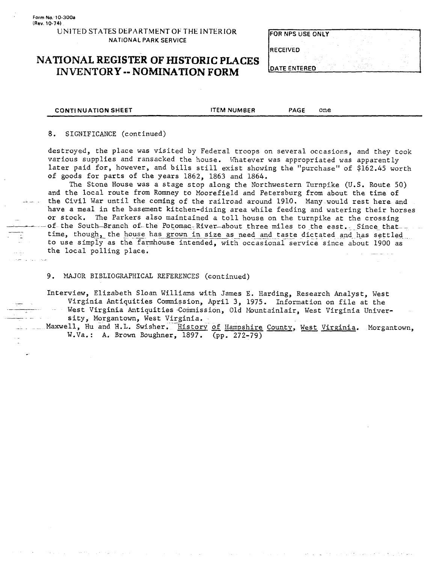### UNITED **STATES** DEPARTMENT **OF THE INTERIOR NATIONAL PARK SERVICE**

### **NATIONAL REGISTER OF HISTORIC PLACES INVENTORY** -- **NOMINATION FORM**

| FOR NPS USE ONLY   |  |  |
|--------------------|--|--|
| <b>IRECEIVED</b>   |  |  |
| <b>ITE ENTERED</b> |  |  |

**CONTINUATION SHEET THEM NUMBER PAGE ONE** 

8. SIGNIFICANCE (continued)

destroyed, the place was visited by Federal troops on several occasions, and they took various supplies and ransacked the house. Vhatever was appropriated was apparently later paid for, however, and bills still exist showing the "purchase" of \$162.45 worth of goods for parts of the years 1862, 1863 and 1864.

The Stone House was a stage stop along the Northwestern Turnpike (U.S. Route 50) and the local route from Romney to Moorefield and Petersburg from about the time of the Civil War until the coming of the railroad around 1910. Many would rest here and have a meal in the basement kitchen-dining area while feeding and watering their horses or stock. The Parkers also maintained a toll house on the turnpike at the crossing - - --of the Soutk-Branch of- the Potomac- River--about three miles to \_the east.. . Since that- - The Stone House was a stage stop along the Northwestern Turnpike (U.S. Route 50)<br>and the local route from Romney to Moorefield and Petersburg from about the time of<br>the Civil War until the coming of the railroad around 191 to use simply as the farmhouse intended, with occasional service since about 1900 as the local polling place. - . . -.

9. MAJOR BIBLIOGRAPHICAL REFERENCES (continued)

Interview, Elizabeth Sloan Williams with James E. Harding, Research Analyst, West Virginia Antiquities Commission, April 3, 1975. Information on file at the<br>West Virginia Antiquities Commission, Old Mountainlair, West Virginia Univer-<br>Maxwell. Hu and H.L. Swisher. History of Hampshire County West Virgin

- - Maxwell, Hu and **H.L.** Swisher. History of Hampshire County, West Virginia. Morgantown, W.Va. : **A.** Brown Boughner, 1897. (pp. 272-79)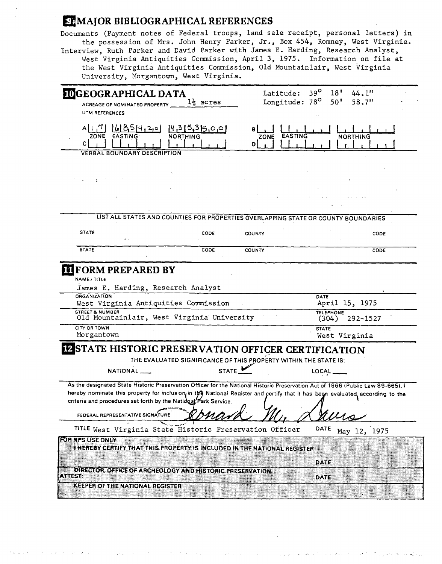### *MAJOR BIBLIOGRAPHICAL REFERENCES*

Documents (Payment notes of Federal troops, land sale receipt, personal letters) in the possession of Mrs. John Henry Parker, Jr., **Box** 454, Romney, West Virginia. Interview, Ruth Parker and David Parker with James E. Harding, Research Analyst, West Virginia Antiquities Commission, April **3,** 1975. Information on file at the West Virginia Antiquities Commission, Old Mountainlair, West virginia University, Morgantown, West Virginia.

| <b>IDGEOGRAPHICAL DATA</b>                                                                                                      |                                                                  | Latitude:     | $39^\circ$<br>18 <sup>1</sup>              | 44.1"           |
|---------------------------------------------------------------------------------------------------------------------------------|------------------------------------------------------------------|---------------|--------------------------------------------|-----------------|
| ACREAGE OF NOMINATED PROPERTY                                                                                                   | $1\frac{1}{2}$ acres                                             |               | Longitude: 78 <sup>0</sup><br>$50^{\circ}$ | 58.7"           |
| UTM REFERENCES                                                                                                                  |                                                                  |               |                                            |                 |
| A[17] [6]854.20<br>ZONE EASTING<br>c                                                                                            | [4,315,315,0,0]<br><b>NORTHING</b>                               | ZONE<br>D     | EASTING                                    | <b>NORTHING</b> |
| <b>VERBAL BOUNDARY DESCRIPTION</b>                                                                                              |                                                                  |               |                                            |                 |
|                                                                                                                                 |                                                                  |               |                                            |                 |
|                                                                                                                                 |                                                                  |               |                                            |                 |
|                                                                                                                                 |                                                                  |               |                                            |                 |
| LIST ALL STATES AND COUNTIES FOR PROPERTIES OVERLAPPING STATE OR COUNTY BOUNDARIES                                              |                                                                  |               |                                            |                 |
| <b>STATE</b>                                                                                                                    | <b>CODE</b>                                                      | <b>COUNTY</b> |                                            | CODE            |
| <b>STATE</b>                                                                                                                    | CODE                                                             | COUNTY        |                                            | CODE            |
| James E. Harding, Research Analyst<br><b>ORGANIZATION</b><br>West Virginia Antiquities Commission                               |                                                                  |               | DATE<br>April 15, 1975                     |                 |
|                                                                                                                                 |                                                                  |               |                                            |                 |
| <b>STREET &amp; NUMBER</b><br>Old Mountainlair, West Virginia University                                                        |                                                                  |               | <b>TELEPHONE</b><br>(304)                  | $292 - 1527$    |
| CITY OR TOWN<br>Morgantown                                                                                                      |                                                                  |               | <b>STATE</b><br>West Virginia              |                 |
| <b>IZSTATE HISTORIC PRESERVATION OFFICER CERTIFICATION</b>                                                                      |                                                                  |               |                                            |                 |
|                                                                                                                                 | THE EVALUATED SIGNIFICANCE OF THIS PROPERTY WITHIN THE STATE IS: |               |                                            |                 |
| NATIONAL                                                                                                                        | STATE                                                            |               | LOCAL                                      |                 |
| As the designated State Historic Preservation Officer for the National Historic Preservation Aut of 1966 (Public Law 89-665). I |                                                                  |               |                                            |                 |
| hereby nominate this property for inclusion in the National Register and certify that it has been evaluated according to the    |                                                                  |               |                                            |                 |
| criteria and procedures set forth by the National Park Service.                                                                 |                                                                  |               |                                            |                 |
| FEDERAL REPRESENTATIVE SIGNATURE                                                                                                |                                                                  |               |                                            |                 |
| TITLE West Virginia State Historic Preservation Officer                                                                         |                                                                  |               | DATE                                       | May 12, 1975    |
| FOR NPS USE ONLY<br>I HEREBY CERTIFY THAT THIS PROPERTY IS INCLUDED IN THE NATIONAL REGISTER                                    |                                                                  |               |                                            |                 |
| DIRECTOR, OFFICE OF ARCHEOLOGY AND HISTORIC PRESERVATION                                                                        |                                                                  |               | DATE                                       |                 |
| <b>ATTEST:</b><br><b>KEEPER OF THE NATIONAL REGISTER</b>                                                                        |                                                                  |               | DATE                                       |                 |
|                                                                                                                                 |                                                                  |               |                                            |                 |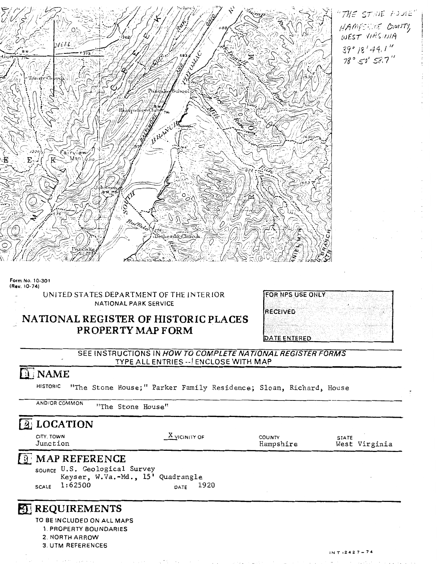

THE STINE HOUSE" HAMPSFINE COUNTY WEST VIRGINIA  $39°/8'44.1''$  $78°50'58.7''$ 

#### **Form No. 10-301 (Rev. 10-74)**

UNITED STATES DEPARTMENT OF THE INTERIOR **NATIONAL PARK SERVICE** 

# - **NATIONAL REGISTER OF HISTORIC PLACES PROPERTY MAP FORM**

| <b>FOR NPS USE ONLY</b> |  |  |  |  |
|-------------------------|--|--|--|--|
|                         |  |  |  |  |
| RECEIVED                |  |  |  |  |
|                         |  |  |  |  |
|                         |  |  |  |  |
|                         |  |  |  |  |
| DATE ENTERED            |  |  |  |  |

SEE INSTRUCTIONS IN HOW TO COMPLETE NATIONAL REGISTER FORMS TYPE ALL ENTRIES -- ENCLOSE WITH MAP

### **D** NAME

**STORIC** <sup>"HTh</sup>e Stone House;" Parker Family Residence; Slove Richard, House AND/OR COMMON **ANDIA AND STONE HOUSE;** "PATKET PAMILY RESIDENCE; SLOAN, KICHATD, HOUSE<br>AD/OR COMMON TITHE STONE House!

**3. UTM REFERENCES** 

| $\boxed{2}$ LOCATION                                                                                                       |                 |                     |                               |
|----------------------------------------------------------------------------------------------------------------------------|-----------------|---------------------|-------------------------------|
| CITY, TOWN<br>Junction                                                                                                     | $X$ vicinity of | COUNTY<br>Hampshire | <b>STATE</b><br>West Virginia |
| $\boxed{3}$ MAP REFERENCE<br>SOURCE U.S. Geological Survey<br>Keyser, W.Va.-Md., 15' Quadrangle<br>1:62500<br><b>SCALE</b> | 1920<br>DATE    |                     |                               |
| <b>ED REQUIREMENTS</b><br>TO BE INCLUDED ON ALL MAPS<br>1. PROPERTY BOUNDARIES<br>2 NORTH ARROW                            |                 |                     |                               |

 $INT:2427 - 74$